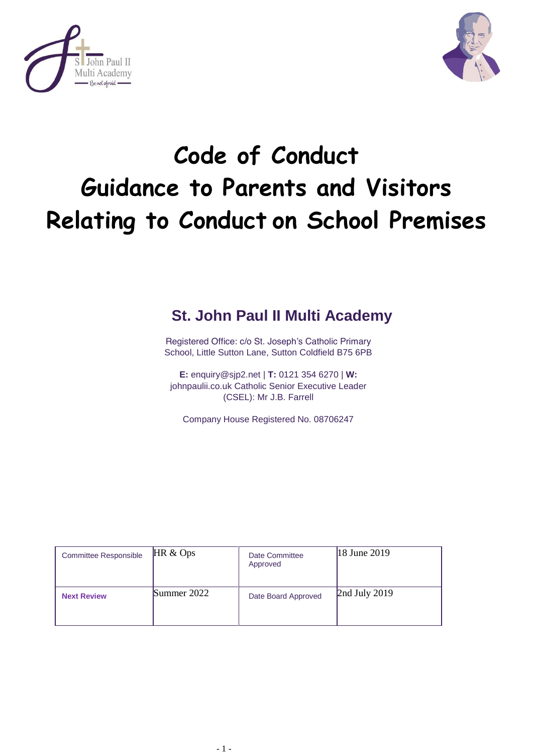



# **Code of Conduct Guidance to Parents and Visitors Relating to Conduct on School Premises**

# **St. John Paul II Multi Academy**

Registered Office: c/o St. Joseph's Catholic Primary School, Little Sutton Lane, Sutton Coldfield B75 6PB

**E:** [enquiry@sjp2.net](mailto:enquiry@sjp2.net) | **T:** 0121 354 6270 | **W:**  johnpaulii.co.uk Catholic Senior Executive Leader (CSEL): Mr J.B. Farrell

Company House Registered No. 08706247

| <b>Committee Responsible</b> | HR &Ops     | Date Committee<br>Approved | 18 June 2019      |
|------------------------------|-------------|----------------------------|-------------------|
| <b>Next Review</b>           | Summer 2022 | Date Board Approved        | $2nd$ July $2019$ |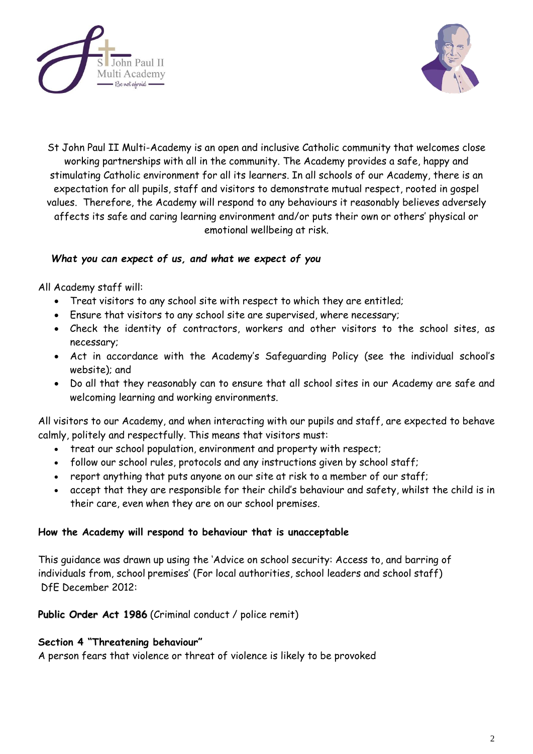



St John Paul II Multi-Academy is an open and inclusive Catholic community that welcomes close working partnerships with all in the community. The Academy provides a safe, happy and stimulating Catholic environment for all its learners. In all schools of our Academy, there is an expectation for all pupils, staff and visitors to demonstrate mutual respect, rooted in gospel values. Therefore, the Academy will respond to any behaviours it reasonably believes adversely affects its safe and caring learning environment and/or puts their own or others' physical or emotional wellbeing at risk.

### *What you can expect of us, and what we expect of you*

All Academy staff will:

- Treat visitors to any school site with respect to which they are entitled;
- Ensure that visitors to any school site are supervised, where necessary;
- Check the identity of contractors, workers and other visitors to the school sites, as necessary;
- Act in accordance with the Academy's Safeguarding Policy (see the individual school's website); and
- Do all that they reasonably can to ensure that all school sites in our Academy are safe and welcoming learning and working environments.

All visitors to our Academy, and when interacting with our pupils and staff, are expected to behave calmly, politely and respectfully. This means that visitors must:

- treat our school population, environment and property with respect;
- follow our school rules, protocols and any instructions given by school staff;
- report anything that puts anyone on our site at risk to a member of our staff;
- accept that they are responsible for their child's behaviour and safety, whilst the child is in their care, even when they are on our school premises.

#### **How the Academy will respond to behaviour that is unacceptable**

This guidance was drawn up using the 'Advice on school security: Access to, and barring of individuals from, school premises' (For local authorities, school leaders and school staff) DfE December 2012:

**Public Order Act 1986** (Criminal conduct / police remit)

# **Section 4 "Threatening behaviour"**

A person fears that violence or threat of violence is likely to be provoked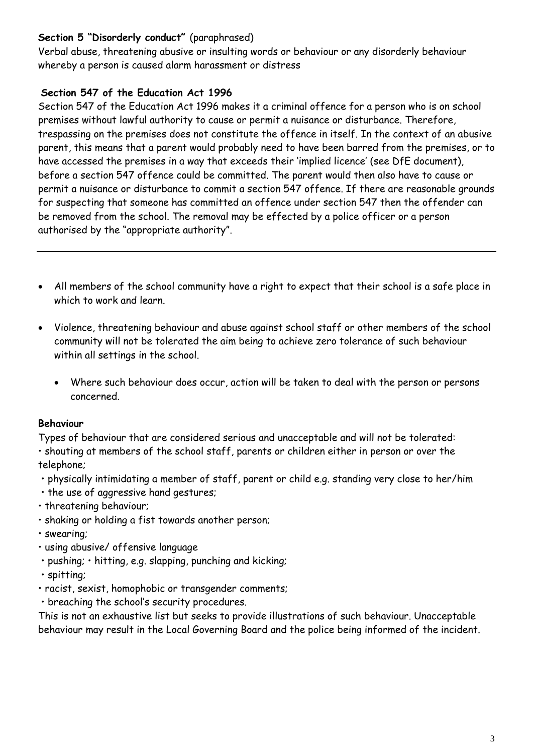# **Section 5 "Disorderly conduct"** (paraphrased)

Verbal abuse, threatening abusive or insulting words or behaviour or any disorderly behaviour whereby a person is caused alarm harassment or distress

# **Section 547 of the Education Act 1996**

Section 547 of the Education Act 1996 makes it a criminal offence for a person who is on school premises without lawful authority to cause or permit a nuisance or disturbance. Therefore, trespassing on the premises does not constitute the offence in itself. In the context of an abusive parent, this means that a parent would probably need to have been barred from the premises, or to have accessed the premises in a way that exceeds their 'implied licence' (see DfE document), before a section 547 offence could be committed. The parent would then also have to cause or permit a nuisance or disturbance to commit a section 547 offence. If there are reasonable grounds for suspecting that someone has committed an offence under section 547 then the offender can be removed from the school. The removal may be effected by a police officer or a person authorised by the "appropriate authority".

- All members of the school community have a right to expect that their school is a safe place in which to work and learn.
- Violence, threatening behaviour and abuse against school staff or other members of the school community will not be tolerated the aim being to achieve zero tolerance of such behaviour within all settings in the school.
	- Where such behaviour does occur, action will be taken to deal with the person or persons concerned.

# **Behaviour**

Types of behaviour that are considered serious and unacceptable and will not be tolerated: • shouting at members of the school staff, parents or children either in person or over the telephone;

- physically intimidating a member of staff, parent or child e.g. standing very close to her/him
- the use of aggressive hand gestures;
- threatening behaviour;
- shaking or holding a fist towards another person;
- swearing;
- using abusive/ offensive language
- pushing; hitting, e.g. slapping, punching and kicking;
- spitting;
- racist, sexist, homophobic or transgender comments;
- breaching the school's security procedures.

This is not an exhaustive list but seeks to provide illustrations of such behaviour. Unacceptable behaviour may result in the Local Governing Board and the police being informed of the incident.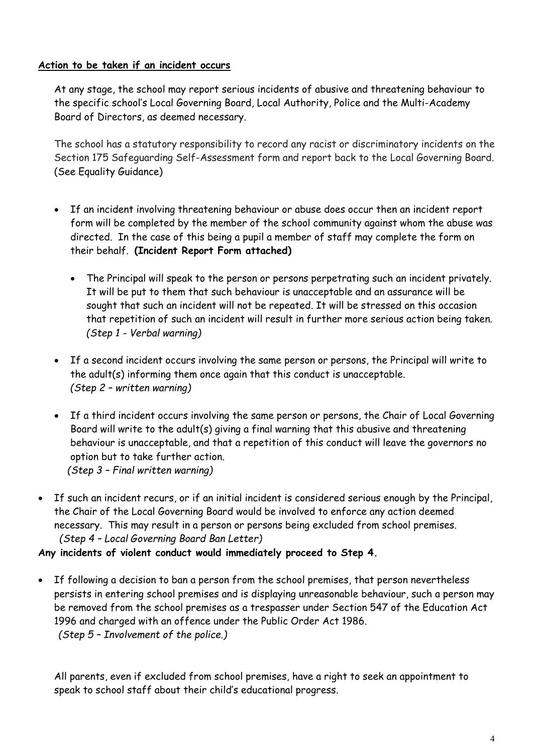## **Action to be taken if an incident occurs**

At any stage, the school may report serious incidents of abusive and threatening behaviour to the specific school's Local Governing Board, Local Authority, Police and the Multi-Academy Board of Directors, as deemed necessary.

The school has a statutory responsibility to record any racist or discriminatory incidents on the Section 175 Safeguarding Self-Assessment form and report back to the Local Governing Board. (See Equality Guidance)

- If an incident involving threatening behaviour or abuse does occur then an incident report form will be completed by the member of the school community against whom the abuse was directed. In the case of this being a pupil a member of staff may complete the form on their behalf. **(Incident Report Form attached)**
	- The Principal will speak to the person or persons perpetrating such an incident privately. It will be put to them that such behaviour is unacceptable and an assurance will be sought that such an incident will not be repeated. It will be stressed on this occasion that repetition of such an incident will result in further more serious action being taken. *(Step 1 - Verbal warning)*
- If a second incident occurs involving the same person or persons, the Principal will write to the adult(s) informing them once again that this conduct is unacceptable. *(Step 2 – written warning)*
- If a third incident occurs involving the same person or persons, the Chair of Local Governing Board will write to the adult(s) giving a final warning that this abusive and threatening behaviour is unacceptable, and that a repetition of this conduct will leave the governors no option but to take further action. *(Step 3 – Final written warning)*
- If such an incident recurs, or if an initial incident is considered serious enough by the Principal, the Chair of the Local Governing Board would be involved to enforce any action deemed necessary. This may result in a person or persons being excluded from school premises.  *(Step 4 – Local Governing Board Ban Letter)*

#### **Any incidents of violent conduct would immediately proceed to Step 4.**

 If following a decision to ban a person from the school premises, that person nevertheless persists in entering school premises and is displaying unreasonable behaviour, such a person may be removed from the school premises as a trespasser under Section 547 of the Education Act 1996 and charged with an offence under the Public Order Act 1986.  *(Step 5 – Involvement of the police.)*

All parents, even if excluded from school premises, have a right to seek an appointment to speak to school staff about their child's educational progress.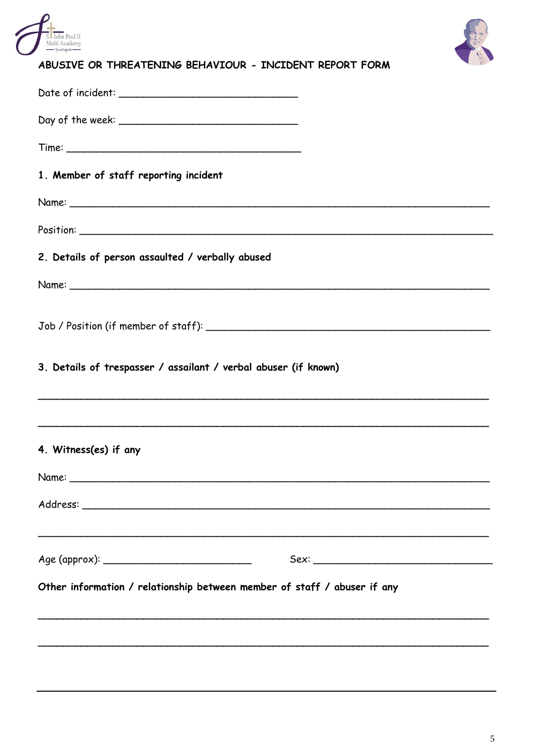



# ABUSIVE OR THREATENING BEHAVIOUR - INCIDENT REPORT FORM

| 1. Member of staff reporting incident                                    |  |
|--------------------------------------------------------------------------|--|
|                                                                          |  |
|                                                                          |  |
| 2. Details of person assaulted / verbally abused                         |  |
|                                                                          |  |
|                                                                          |  |
| 3. Details of trespasser / assailant / verbal abuser (if known)          |  |
|                                                                          |  |
| 4. Witness(es) if any                                                    |  |
| Name:                                                                    |  |
|                                                                          |  |
|                                                                          |  |
|                                                                          |  |
| Other information / relationship between member of staff / abuser if any |  |
|                                                                          |  |
|                                                                          |  |